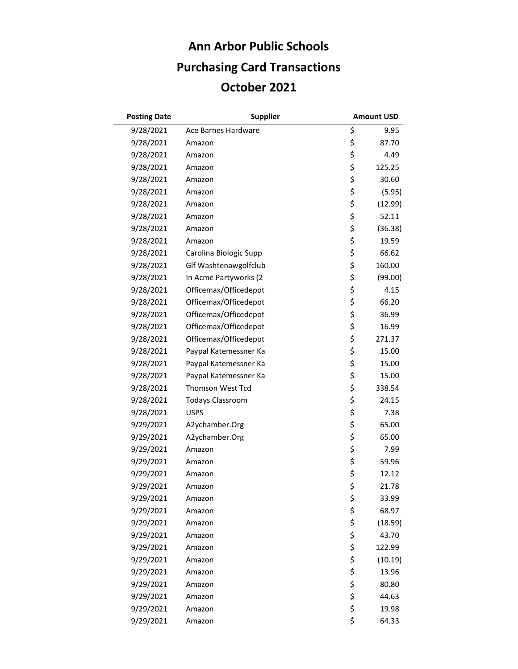## **October 2021 Ann Arbor Public Schools Purchasing Card Transactions**

| <b>Posting Date</b> | <b>Supplier</b>         | <b>Amount USD</b> |
|---------------------|-------------------------|-------------------|
| 9/28/2021           | Ace Barnes Hardware     | \$<br>9.95        |
| 9/28/2021           | Amazon                  | \$<br>87.70       |
| 9/28/2021           | Amazon                  | \$<br>4.49        |
| 9/28/2021           | Amazon                  | \$<br>125.25      |
| 9/28/2021           | Amazon                  | \$<br>30.60       |
| 9/28/2021           | Amazon                  | \$<br>(5.95)      |
| 9/28/2021           | Amazon                  | \$<br>(12.99)     |
| 9/28/2021           | Amazon                  | \$<br>52.11       |
| 9/28/2021           | Amazon                  | \$<br>(36.38)     |
| 9/28/2021           | Amazon                  | \$<br>19.59       |
| 9/28/2021           | Carolina Biologic Supp  | \$<br>66.62       |
| 9/28/2021           | Glf Washtenawgolfclub   | \$<br>160.00      |
| 9/28/2021           | In Acme Partyworks (2   | \$<br>(99.00)     |
| 9/28/2021           | Officemax/Officedepot   | \$<br>4.15        |
| 9/28/2021           | Officemax/Officedepot   | \$<br>66.20       |
| 9/28/2021           | Officemax/Officedepot   | \$<br>36.99       |
| 9/28/2021           | Officemax/Officedepot   | \$<br>16.99       |
| 9/28/2021           | Officemax/Officedepot   | \$<br>271.37      |
| 9/28/2021           | Paypal Katemessner Ka   | \$<br>15.00       |
| 9/28/2021           | Paypal Katemessner Ka   | \$<br>15.00       |
| 9/28/2021           | Paypal Katemessner Ka   | \$<br>15.00       |
| 9/28/2021           | <b>Thomson West Tcd</b> | \$<br>338.54      |
| 9/28/2021           | <b>Todays Classroom</b> | \$<br>24.15       |
| 9/28/2021           | <b>USPS</b>             | \$<br>7.38        |
| 9/29/2021           | A2ychamber.Org          | \$<br>65.00       |
| 9/29/2021           | A2ychamber.Org          | \$<br>65.00       |
| 9/29/2021           | Amazon                  | \$<br>7.99        |
| 9/29/2021           | Amazon                  | \$<br>59.96       |
| 9/29/2021           | Amazon                  | \$<br>12.12       |
| 9/29/2021           | Amazon                  | \$<br>21.78       |
| 9/29/2021           | Amazon                  | \$<br>33.99       |
| 9/29/2021           | Amazon                  | \$<br>68.97       |
| 9/29/2021           | Amazon                  | \$<br>(18.59)     |
| 9/29/2021           | Amazon                  | \$<br>43.70       |
| 9/29/2021           | Amazon                  | \$<br>122.99      |
| 9/29/2021           | Amazon                  | \$<br>(10.19)     |
| 9/29/2021           | Amazon                  | \$<br>13.96       |
| 9/29/2021           | Amazon                  | \$<br>80.80       |
| 9/29/2021           | Amazon                  | \$<br>44.63       |
| 9/29/2021           | Amazon                  | \$<br>19.98       |
| 9/29/2021           | Amazon                  | \$<br>64.33       |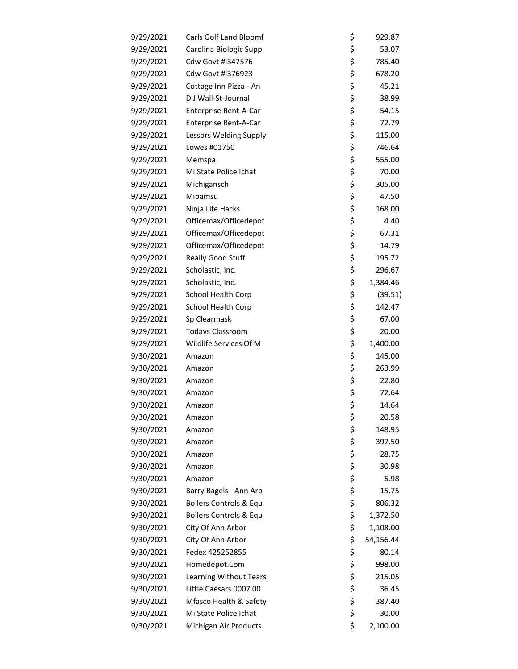| 9/29/2021 | <b>Carls Golf Land Bloomf</b> | \$<br>929.87    |
|-----------|-------------------------------|-----------------|
| 9/29/2021 | Carolina Biologic Supp        | \$<br>53.07     |
| 9/29/2021 | Cdw Govt #1347576             | \$<br>785.40    |
| 9/29/2021 | Cdw Govt #1376923             | \$<br>678.20    |
| 9/29/2021 | Cottage Inn Pizza - An        | \$<br>45.21     |
| 9/29/2021 | D J Wall-St-Journal           | \$<br>38.99     |
| 9/29/2021 | Enterprise Rent-A-Car         | \$<br>54.15     |
| 9/29/2021 | <b>Enterprise Rent-A-Car</b>  | \$<br>72.79     |
| 9/29/2021 | Lessors Welding Supply        | \$<br>115.00    |
| 9/29/2021 | Lowes #01750                  | \$<br>746.64    |
| 9/29/2021 | Memspa                        | \$<br>555.00    |
| 9/29/2021 | Mi State Police Ichat         | \$<br>70.00     |
| 9/29/2021 | Michigansch                   | \$<br>305.00    |
| 9/29/2021 | Mipamsu                       | \$<br>47.50     |
| 9/29/2021 | Ninja Life Hacks              | \$<br>168.00    |
| 9/29/2021 | Officemax/Officedepot         | \$<br>4.40      |
| 9/29/2021 | Officemax/Officedepot         | \$<br>67.31     |
| 9/29/2021 | Officemax/Officedepot         | \$<br>14.79     |
| 9/29/2021 | Really Good Stuff             | \$<br>195.72    |
| 9/29/2021 | Scholastic, Inc.              | \$<br>296.67    |
| 9/29/2021 | Scholastic, Inc.              | \$<br>1,384.46  |
| 9/29/2021 | School Health Corp            | \$<br>(39.51)   |
| 9/29/2021 | School Health Corp            | \$<br>142.47    |
| 9/29/2021 | Sp Clearmask                  | \$<br>67.00     |
| 9/29/2021 | <b>Todays Classroom</b>       | \$<br>20.00     |
| 9/29/2021 | Wildlife Services Of M        | \$<br>1,400.00  |
| 9/30/2021 | Amazon                        | \$<br>145.00    |
| 9/30/2021 | Amazon                        | \$<br>263.99    |
| 9/30/2021 | Amazon                        | \$<br>22.80     |
| 9/30/2021 | Amazon                        | \$<br>72.64     |
| 9/30/2021 | Amazon                        | \$<br>14.64     |
| 9/30/2021 | Amazon                        | \$<br>20.58     |
| 9/30/2021 | Amazon                        | \$<br>148.95    |
| 9/30/2021 | Amazon                        | \$<br>397.50    |
| 9/30/2021 | Amazon                        | \$<br>28.75     |
| 9/30/2021 | Amazon                        | \$<br>30.98     |
| 9/30/2021 | Amazon                        | \$<br>5.98      |
| 9/30/2021 | Barry Bagels - Ann Arb        | \$<br>15.75     |
| 9/30/2021 | Boilers Controls & Equ        | \$<br>806.32    |
| 9/30/2021 | Boilers Controls & Equ        | \$<br>1,372.50  |
| 9/30/2021 | City Of Ann Arbor             | \$<br>1,108.00  |
| 9/30/2021 | City Of Ann Arbor             | \$<br>54,156.44 |
| 9/30/2021 | Fedex 425252855               | \$<br>80.14     |
| 9/30/2021 | Homedepot.Com                 | \$<br>998.00    |
| 9/30/2021 | Learning Without Tears        | \$<br>215.05    |
| 9/30/2021 | Little Caesars 0007 00        | \$<br>36.45     |
| 9/30/2021 | Mfasco Health & Safety        | \$<br>387.40    |
| 9/30/2021 | Mi State Police Ichat         | \$<br>30.00     |
| 9/30/2021 | Michigan Air Products         | \$<br>2,100.00  |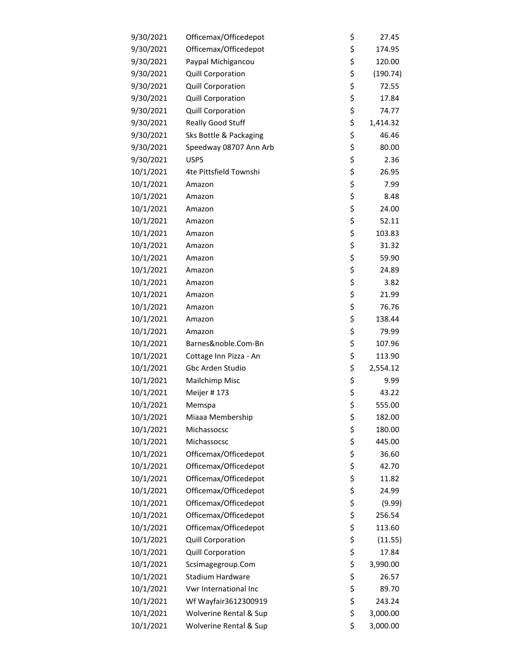| 9/30/2021 | Officemax/Officedepot    | \$<br>27.45    |
|-----------|--------------------------|----------------|
| 9/30/2021 | Officemax/Officedepot    | \$<br>174.95   |
| 9/30/2021 | Paypal Michigancou       | \$<br>120.00   |
| 9/30/2021 | <b>Quill Corporation</b> | \$<br>(190.74) |
| 9/30/2021 | Quill Corporation        | \$<br>72.55    |
| 9/30/2021 | <b>Quill Corporation</b> | \$<br>17.84    |
| 9/30/2021 | <b>Quill Corporation</b> | \$<br>74.77    |
| 9/30/2021 | Really Good Stuff        | \$<br>1,414.32 |
| 9/30/2021 | Sks Bottle & Packaging   | \$<br>46.46    |
| 9/30/2021 | Speedway 08707 Ann Arb   | \$<br>80.00    |
| 9/30/2021 | <b>USPS</b>              | \$<br>2.36     |
| 10/1/2021 | 4te Pittsfield Townshi   | \$<br>26.95    |
| 10/1/2021 | Amazon                   | \$<br>7.99     |
| 10/1/2021 | Amazon                   | \$<br>8.48     |
| 10/1/2021 | Amazon                   | \$<br>24.00    |
| 10/1/2021 | Amazon                   | \$<br>52.11    |
| 10/1/2021 | Amazon                   | \$<br>103.83   |
| 10/1/2021 | Amazon                   | \$<br>31.32    |
| 10/1/2021 | Amazon                   | \$<br>59.90    |
| 10/1/2021 | Amazon                   | \$<br>24.89    |
| 10/1/2021 | Amazon                   | \$<br>3.82     |
| 10/1/2021 | Amazon                   | \$<br>21.99    |
| 10/1/2021 | Amazon                   | \$<br>76.76    |
| 10/1/2021 | Amazon                   | \$<br>138.44   |
| 10/1/2021 | Amazon                   | \$<br>79.99    |
| 10/1/2021 | Barnes&noble.Com-Bn      | \$<br>107.96   |
| 10/1/2021 | Cottage Inn Pizza - An   | \$<br>113.90   |
| 10/1/2021 | Gbc Arden Studio         | \$<br>2,554.12 |
| 10/1/2021 | Mailchimp Misc           | \$<br>9.99     |
| 10/1/2021 | Meijer #173              | \$<br>43.22    |
| 10/1/2021 | Memspa                   | \$<br>555.00   |
| 10/1/2021 | Miaaa Membership         | \$<br>182.00   |
| 10/1/2021 | Michassocsc              | \$<br>180.00   |
| 10/1/2021 | Michassocsc              | \$<br>445.00   |
| 10/1/2021 | Officemax/Officedepot    | \$<br>36.60    |
| 10/1/2021 | Officemax/Officedepot    | \$<br>42.70    |
| 10/1/2021 | Officemax/Officedepot    | \$<br>11.82    |
| 10/1/2021 | Officemax/Officedepot    | \$<br>24.99    |
| 10/1/2021 | Officemax/Officedepot    | \$<br>(9.99)   |
| 10/1/2021 | Officemax/Officedepot    | \$<br>256.54   |
| 10/1/2021 | Officemax/Officedepot    | \$<br>113.60   |
| 10/1/2021 | Quill Corporation        | \$<br>(11.55)  |
| 10/1/2021 | Quill Corporation        | \$<br>17.84    |
| 10/1/2021 | Scsimagegroup.Com        | \$<br>3,990.00 |
| 10/1/2021 | <b>Stadium Hardware</b>  | \$<br>26.57    |
| 10/1/2021 | Vwr International Inc    | \$<br>89.70    |
| 10/1/2021 | Wf Wayfair3612300919     | \$<br>243.24   |
| 10/1/2021 | Wolverine Rental & Sup   | \$<br>3,000.00 |
| 10/1/2021 | Wolverine Rental & Sup   | \$<br>3,000.00 |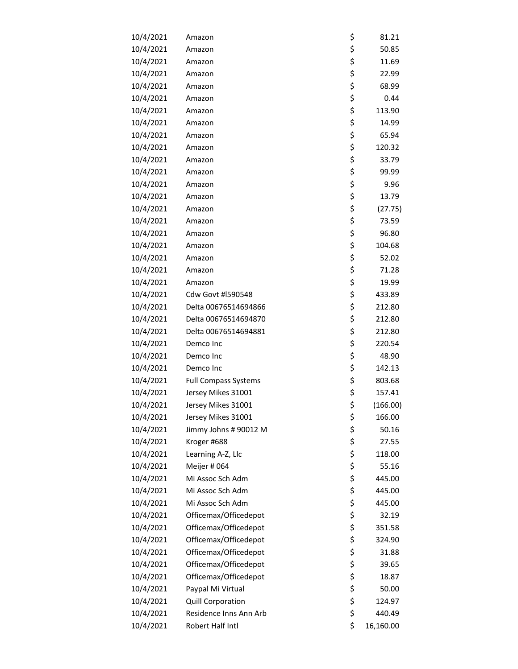| 10/4/2021 | Amazon                      | \$<br>81.21     |
|-----------|-----------------------------|-----------------|
| 10/4/2021 | Amazon                      | \$<br>50.85     |
| 10/4/2021 | Amazon                      | \$<br>11.69     |
| 10/4/2021 | Amazon                      | \$<br>22.99     |
| 10/4/2021 | Amazon                      | \$<br>68.99     |
| 10/4/2021 | Amazon                      | \$<br>0.44      |
| 10/4/2021 | Amazon                      | \$<br>113.90    |
| 10/4/2021 | Amazon                      | \$<br>14.99     |
| 10/4/2021 | Amazon                      | \$<br>65.94     |
| 10/4/2021 | Amazon                      | \$<br>120.32    |
| 10/4/2021 | Amazon                      | \$<br>33.79     |
| 10/4/2021 | Amazon                      | \$<br>99.99     |
| 10/4/2021 | Amazon                      | \$<br>9.96      |
| 10/4/2021 | Amazon                      | \$<br>13.79     |
| 10/4/2021 | Amazon                      | \$<br>(27.75)   |
| 10/4/2021 | Amazon                      | \$<br>73.59     |
| 10/4/2021 | Amazon                      | \$<br>96.80     |
| 10/4/2021 | Amazon                      | \$<br>104.68    |
| 10/4/2021 | Amazon                      | \$<br>52.02     |
| 10/4/2021 | Amazon                      | \$<br>71.28     |
| 10/4/2021 | Amazon                      | \$<br>19.99     |
| 10/4/2021 | Cdw Govt #1590548           | \$<br>433.89    |
| 10/4/2021 | Delta 00676514694866        | \$<br>212.80    |
| 10/4/2021 | Delta 00676514694870        | \$<br>212.80    |
| 10/4/2021 | Delta 00676514694881        | \$<br>212.80    |
| 10/4/2021 | Demco Inc                   | \$<br>220.54    |
| 10/4/2021 | Demco Inc                   | \$<br>48.90     |
| 10/4/2021 | Demco Inc                   | \$<br>142.13    |
| 10/4/2021 | <b>Full Compass Systems</b> | \$<br>803.68    |
| 10/4/2021 | Jersey Mikes 31001          | \$<br>157.41    |
| 10/4/2021 | Jersey Mikes 31001          | \$<br>(166.00)  |
| 10/4/2021 | Jersey Mikes 31001          | \$<br>166.00    |
| 10/4/2021 | Jimmy Johns # 90012 M       | \$<br>50.16     |
| 10/4/2021 | Kroger #688                 | \$<br>27.55     |
| 10/4/2021 | Learning A-Z, Llc           | \$<br>118.00    |
| 10/4/2021 | Meijer #064                 | \$<br>55.16     |
| 10/4/2021 | Mi Assoc Sch Adm            | \$<br>445.00    |
| 10/4/2021 | Mi Assoc Sch Adm            | \$<br>445.00    |
| 10/4/2021 | Mi Assoc Sch Adm            | \$<br>445.00    |
| 10/4/2021 | Officemax/Officedepot       | \$<br>32.19     |
| 10/4/2021 | Officemax/Officedepot       | \$<br>351.58    |
| 10/4/2021 | Officemax/Officedepot       | \$<br>324.90    |
| 10/4/2021 | Officemax/Officedepot       | \$<br>31.88     |
| 10/4/2021 | Officemax/Officedepot       | \$<br>39.65     |
| 10/4/2021 | Officemax/Officedepot       | \$<br>18.87     |
| 10/4/2021 | Paypal Mi Virtual           | \$<br>50.00     |
| 10/4/2021 | Quill Corporation           | \$<br>124.97    |
| 10/4/2021 | Residence Inns Ann Arb      | \$<br>440.49    |
| 10/4/2021 | Robert Half Intl            | \$<br>16,160.00 |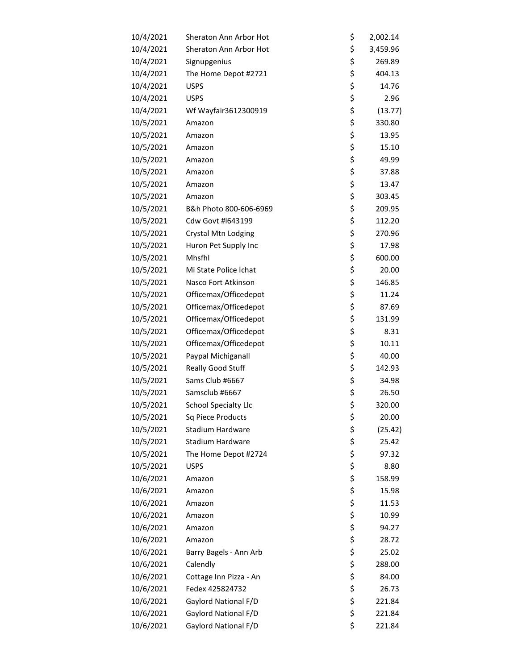| 10/4/2021 | Sheraton Ann Arbor Hot  | \$       | 2,002.14 |
|-----------|-------------------------|----------|----------|
| 10/4/2021 | Sheraton Ann Arbor Hot  | \$       | 3,459.96 |
| 10/4/2021 | Signupgenius            | \$       | 269.89   |
| 10/4/2021 | The Home Depot #2721    | \$       | 404.13   |
| 10/4/2021 | <b>USPS</b>             | \$       | 14.76    |
| 10/4/2021 | <b>USPS</b>             | \$       | 2.96     |
| 10/4/2021 | Wf Wayfair3612300919    | \$       | (13.77)  |
| 10/5/2021 | Amazon                  | \$       | 330.80   |
| 10/5/2021 | Amazon                  | \$       | 13.95    |
| 10/5/2021 | Amazon                  | \$       | 15.10    |
| 10/5/2021 | Amazon                  | \$       | 49.99    |
| 10/5/2021 | Amazon                  | \$       | 37.88    |
| 10/5/2021 | Amazon                  | \$       | 13.47    |
| 10/5/2021 | Amazon                  | \$       | 303.45   |
| 10/5/2021 | B&h Photo 800-606-6969  | \$       | 209.95   |
| 10/5/2021 | Cdw Govt #1643199       | \$       | 112.20   |
| 10/5/2021 | Crystal Mtn Lodging     | \$       | 270.96   |
| 10/5/2021 | Huron Pet Supply Inc    | \$       | 17.98    |
| 10/5/2021 | Mhsfhl                  | \$       | 600.00   |
| 10/5/2021 | Mi State Police Ichat   | \$       | 20.00    |
| 10/5/2021 | Nasco Fort Atkinson     | \$       | 146.85   |
| 10/5/2021 | Officemax/Officedepot   | \$       | 11.24    |
| 10/5/2021 | Officemax/Officedepot   | \$       | 87.69    |
| 10/5/2021 | Officemax/Officedepot   | \$       | 131.99   |
| 10/5/2021 | Officemax/Officedepot   | \$       | 8.31     |
| 10/5/2021 | Officemax/Officedepot   | \$       | 10.11    |
| 10/5/2021 | Paypal Michiganall      | \$       | 40.00    |
| 10/5/2021 | Really Good Stuff       | \$       | 142.93   |
| 10/5/2021 | Sams Club #6667         | \$       | 34.98    |
| 10/5/2021 | Samsclub #6667          | \$       | 26.50    |
| 10/5/2021 | School Specialty Llc    | \$       | 320.00   |
| 10/5/2021 | Sq Piece Products       | \$       | 20.00    |
| 10/5/2021 | <b>Stadium Hardware</b> | \$       | (25.42)  |
| 10/5/2021 | <b>Stadium Hardware</b> | \$       | 25.42    |
| 10/5/2021 | The Home Depot #2724    | \$       | 97.32    |
| 10/5/2021 | <b>USPS</b>             | \$       | 8.80     |
| 10/6/2021 | Amazon                  | \$       | 158.99   |
| 10/6/2021 | Amazon                  | \$       | 15.98    |
| 10/6/2021 | Amazon                  | \$       | 11.53    |
| 10/6/2021 | Amazon                  | \$       | 10.99    |
| 10/6/2021 | Amazon                  | \$       | 94.27    |
| 10/6/2021 | Amazon                  | \$       | 28.72    |
| 10/6/2021 | Barry Bagels - Ann Arb  | \$       | 25.02    |
| 10/6/2021 | Calendly                | \$       | 288.00   |
| 10/6/2021 | Cottage Inn Pizza - An  | \$       | 84.00    |
| 10/6/2021 | Fedex 425824732         | \$       | 26.73    |
| 10/6/2021 | Gaylord National F/D    | \$       | 221.84   |
| 10/6/2021 | Gaylord National F/D    | \$<br>\$ | 221.84   |
| 10/6/2021 | Gaylord National F/D    |          | 221.84   |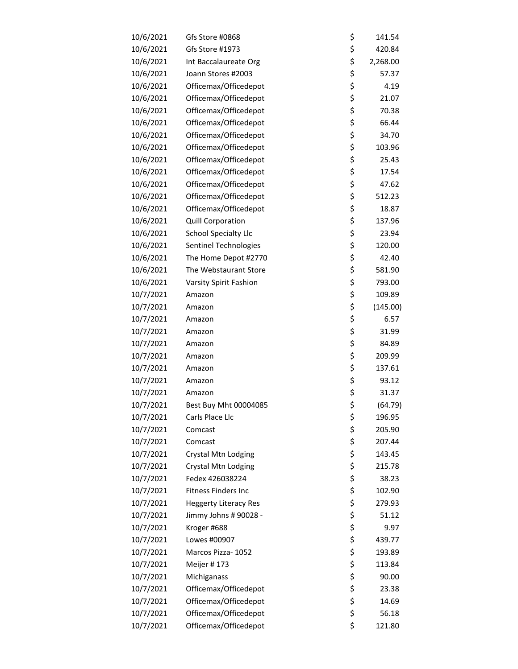| 10/6/2021 | Gfs Store #0868              | \$<br>141.54   |
|-----------|------------------------------|----------------|
| 10/6/2021 | Gfs Store #1973              | \$<br>420.84   |
| 10/6/2021 | Int Baccalaureate Org        | \$<br>2,268.00 |
| 10/6/2021 | Joann Stores #2003           | \$<br>57.37    |
| 10/6/2021 | Officemax/Officedepot        | \$<br>4.19     |
| 10/6/2021 | Officemax/Officedepot        | \$<br>21.07    |
| 10/6/2021 | Officemax/Officedepot        | \$<br>70.38    |
| 10/6/2021 | Officemax/Officedepot        | \$<br>66.44    |
| 10/6/2021 | Officemax/Officedepot        | \$<br>34.70    |
| 10/6/2021 | Officemax/Officedepot        | \$<br>103.96   |
| 10/6/2021 | Officemax/Officedepot        | \$<br>25.43    |
| 10/6/2021 | Officemax/Officedepot        | \$<br>17.54    |
| 10/6/2021 | Officemax/Officedepot        | \$<br>47.62    |
| 10/6/2021 | Officemax/Officedepot        | \$<br>512.23   |
| 10/6/2021 | Officemax/Officedepot        | \$<br>18.87    |
| 10/6/2021 | Quill Corporation            | \$<br>137.96   |
| 10/6/2021 | School Specialty Llc         | \$<br>23.94    |
| 10/6/2021 | Sentinel Technologies        | \$<br>120.00   |
| 10/6/2021 | The Home Depot #2770         | \$<br>42.40    |
| 10/6/2021 | The Webstaurant Store        | \$<br>581.90   |
| 10/6/2021 | Varsity Spirit Fashion       | \$<br>793.00   |
| 10/7/2021 | Amazon                       | \$<br>109.89   |
| 10/7/2021 | Amazon                       | \$<br>(145.00) |
| 10/7/2021 | Amazon                       | \$<br>6.57     |
| 10/7/2021 | Amazon                       | \$<br>31.99    |
| 10/7/2021 | Amazon                       | \$<br>84.89    |
| 10/7/2021 | Amazon                       | \$<br>209.99   |
| 10/7/2021 | Amazon                       | \$<br>137.61   |
| 10/7/2021 | Amazon                       | \$<br>93.12    |
| 10/7/2021 | Amazon                       | \$<br>31.37    |
| 10/7/2021 | Best Buy Mht 00004085        | \$<br>(64.79)  |
| 10/7/2021 | Carls Place Llc              | \$<br>196.95   |
| 10/7/2021 | Comcast                      | \$<br>205.90   |
| 10/7/2021 | Comcast                      | \$<br>207.44   |
| 10/7/2021 | Crystal Mtn Lodging          | \$<br>143.45   |
| 10/7/2021 | Crystal Mtn Lodging          | \$<br>215.78   |
| 10/7/2021 | Fedex 426038224              | \$<br>38.23    |
| 10/7/2021 | <b>Fitness Finders Inc</b>   | \$<br>102.90   |
| 10/7/2021 | <b>Heggerty Literacy Res</b> | \$<br>279.93   |
| 10/7/2021 | Jimmy Johns # 90028 -        | \$<br>51.12    |
| 10/7/2021 | Kroger #688                  | \$<br>9.97     |
| 10/7/2021 | Lowes #00907                 | \$<br>439.77   |
| 10/7/2021 | Marcos Pizza- 1052           | \$<br>193.89   |
| 10/7/2021 | Meijer #173                  | \$<br>113.84   |
| 10/7/2021 | Michiganass                  | \$<br>90.00    |
| 10/7/2021 | Officemax/Officedepot        | \$<br>23.38    |
| 10/7/2021 | Officemax/Officedepot        | \$<br>14.69    |
| 10/7/2021 | Officemax/Officedepot        | \$<br>56.18    |
| 10/7/2021 | Officemax/Officedepot        | \$<br>121.80   |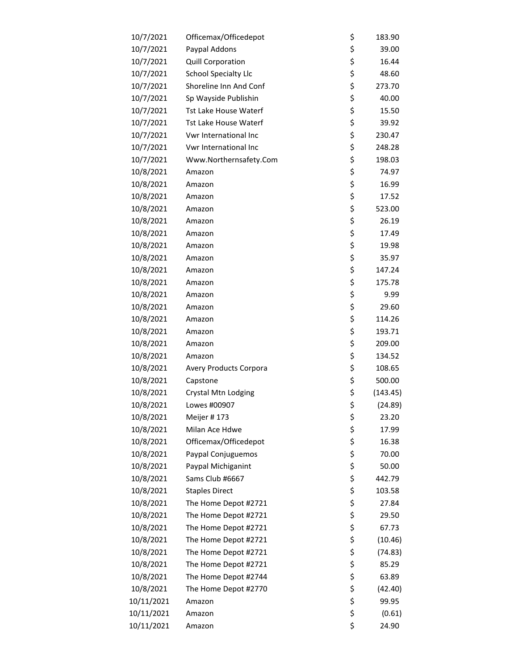| 10/7/2021  | Officemax/Officedepot        | \$<br>183.90   |
|------------|------------------------------|----------------|
| 10/7/2021  | Paypal Addons                | \$<br>39.00    |
| 10/7/2021  | Quill Corporation            | \$<br>16.44    |
| 10/7/2021  | <b>School Specialty Llc</b>  | \$<br>48.60    |
| 10/7/2021  | Shoreline Inn And Conf       | \$<br>273.70   |
| 10/7/2021  | Sp Wayside Publishin         | \$<br>40.00    |
| 10/7/2021  | <b>Tst Lake House Waterf</b> | \$<br>15.50    |
| 10/7/2021  | <b>Tst Lake House Waterf</b> | \$<br>39.92    |
| 10/7/2021  | Vwr International Inc        | \$<br>230.47   |
| 10/7/2021  | Vwr International Inc        | \$<br>248.28   |
| 10/7/2021  | Www.Northernsafety.Com       | \$<br>198.03   |
| 10/8/2021  | Amazon                       | \$<br>74.97    |
| 10/8/2021  | Amazon                       | \$<br>16.99    |
| 10/8/2021  | Amazon                       | \$<br>17.52    |
| 10/8/2021  | Amazon                       | \$<br>523.00   |
| 10/8/2021  | Amazon                       | \$<br>26.19    |
| 10/8/2021  | Amazon                       | \$<br>17.49    |
| 10/8/2021  | Amazon                       | \$<br>19.98    |
| 10/8/2021  | Amazon                       | \$<br>35.97    |
| 10/8/2021  | Amazon                       | \$<br>147.24   |
| 10/8/2021  | Amazon                       | \$<br>175.78   |
| 10/8/2021  | Amazon                       | \$<br>9.99     |
| 10/8/2021  | Amazon                       | \$<br>29.60    |
| 10/8/2021  | Amazon                       | \$<br>114.26   |
| 10/8/2021  | Amazon                       | \$<br>193.71   |
| 10/8/2021  | Amazon                       | \$<br>209.00   |
| 10/8/2021  | Amazon                       | \$<br>134.52   |
| 10/8/2021  | Avery Products Corpora       | \$<br>108.65   |
| 10/8/2021  | Capstone                     | \$<br>500.00   |
| 10/8/2021  | Crystal Mtn Lodging          | \$<br>(143.45) |
| 10/8/2021  | Lowes #00907                 | \$<br>(24.89)  |
| 10/8/2021  | Meijer #173                  | \$<br>23.20    |
| 10/8/2021  | Milan Ace Hdwe               | \$<br>17.99    |
| 10/8/2021  | Officemax/Officedepot        | \$<br>16.38    |
| 10/8/2021  | Paypal Conjuguemos           | \$<br>70.00    |
| 10/8/2021  | Paypal Michiganint           | \$<br>50.00    |
| 10/8/2021  | Sams Club #6667              | \$<br>442.79   |
| 10/8/2021  | <b>Staples Direct</b>        | \$<br>103.58   |
| 10/8/2021  | The Home Depot #2721         | \$<br>27.84    |
| 10/8/2021  | The Home Depot #2721         | \$<br>29.50    |
| 10/8/2021  | The Home Depot #2721         | \$<br>67.73    |
| 10/8/2021  | The Home Depot #2721         | \$<br>(10.46)  |
| 10/8/2021  | The Home Depot #2721         | \$<br>(74.83)  |
| 10/8/2021  | The Home Depot #2721         | \$<br>85.29    |
| 10/8/2021  | The Home Depot #2744         | \$<br>63.89    |
| 10/8/2021  | The Home Depot #2770         | \$<br>(42.40)  |
| 10/11/2021 | Amazon                       | \$<br>99.95    |
| 10/11/2021 | Amazon                       | \$<br>(0.61)   |
| 10/11/2021 | Amazon                       | \$<br>24.90    |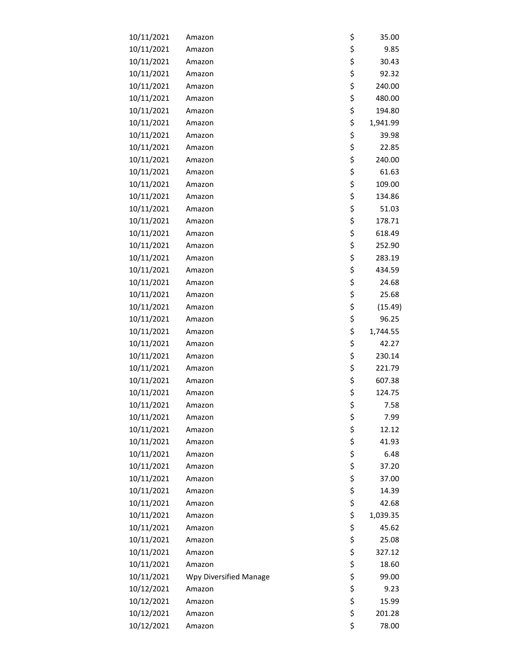| 10/11/2021 | Amazon                 | \$<br>35.00    |
|------------|------------------------|----------------|
| 10/11/2021 | Amazon                 | \$<br>9.85     |
| 10/11/2021 | Amazon                 | \$<br>30.43    |
| 10/11/2021 | Amazon                 | \$<br>92.32    |
| 10/11/2021 | Amazon                 | \$<br>240.00   |
| 10/11/2021 | Amazon                 | \$<br>480.00   |
| 10/11/2021 | Amazon                 | \$<br>194.80   |
| 10/11/2021 | Amazon                 | \$<br>1,941.99 |
| 10/11/2021 | Amazon                 | \$<br>39.98    |
| 10/11/2021 | Amazon                 | \$<br>22.85    |
| 10/11/2021 | Amazon                 | \$<br>240.00   |
| 10/11/2021 | Amazon                 | \$<br>61.63    |
| 10/11/2021 | Amazon                 | \$<br>109.00   |
| 10/11/2021 | Amazon                 | \$<br>134.86   |
| 10/11/2021 | Amazon                 | \$<br>51.03    |
| 10/11/2021 | Amazon                 | \$<br>178.71   |
| 10/11/2021 | Amazon                 | \$<br>618.49   |
| 10/11/2021 | Amazon                 | \$<br>252.90   |
| 10/11/2021 | Amazon                 | \$<br>283.19   |
| 10/11/2021 | Amazon                 | \$<br>434.59   |
| 10/11/2021 | Amazon                 | \$<br>24.68    |
| 10/11/2021 | Amazon                 | \$<br>25.68    |
| 10/11/2021 | Amazon                 | \$<br>(15.49)  |
| 10/11/2021 | Amazon                 | \$<br>96.25    |
| 10/11/2021 | Amazon                 | \$<br>1,744.55 |
| 10/11/2021 | Amazon                 | \$<br>42.27    |
| 10/11/2021 | Amazon                 | \$<br>230.14   |
| 10/11/2021 | Amazon                 | \$<br>221.79   |
| 10/11/2021 | Amazon                 | \$<br>607.38   |
| 10/11/2021 | Amazon                 | \$<br>124.75   |
| 10/11/2021 | Amazon                 | \$<br>7.58     |
| 10/11/2021 | Amazon                 | \$<br>7.99     |
| 10/11/2021 | Amazon                 | \$<br>12.12    |
| 10/11/2021 | Amazon                 | \$<br>41.93    |
| 10/11/2021 | Amazon                 | \$<br>6.48     |
| 10/11/2021 | Amazon                 | \$<br>37.20    |
| 10/11/2021 | Amazon                 | \$<br>37.00    |
| 10/11/2021 | Amazon                 | \$<br>14.39    |
| 10/11/2021 | Amazon                 | \$<br>42.68    |
| 10/11/2021 | Amazon                 | \$<br>1,039.35 |
| 10/11/2021 | Amazon                 | \$<br>45.62    |
| 10/11/2021 | Amazon                 | \$<br>25.08    |
| 10/11/2021 | Amazon                 | \$<br>327.12   |
| 10/11/2021 | Amazon                 | \$<br>18.60    |
| 10/11/2021 | Wpy Diversified Manage | \$<br>99.00    |
| 10/12/2021 | Amazon                 | \$<br>9.23     |
| 10/12/2021 | Amazon                 | \$<br>15.99    |
| 10/12/2021 | Amazon                 | \$<br>201.28   |
| 10/12/2021 | Amazon                 | \$<br>78.00    |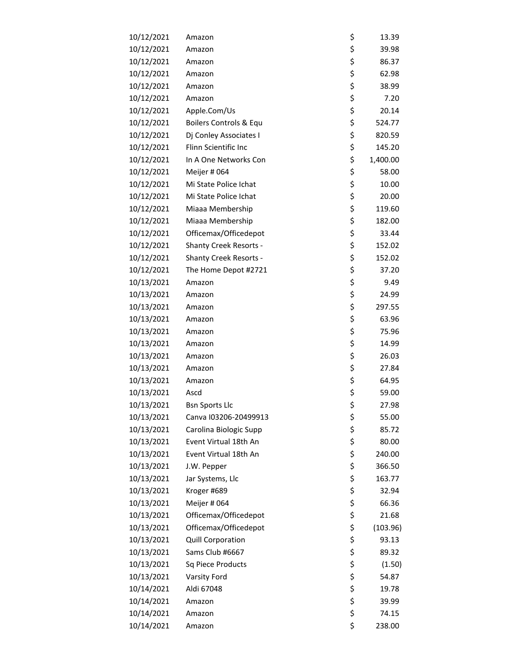| 10/12/2021 | Amazon                        | \$<br>13.39    |
|------------|-------------------------------|----------------|
| 10/12/2021 | Amazon                        | \$<br>39.98    |
| 10/12/2021 | Amazon                        | \$<br>86.37    |
| 10/12/2021 | Amazon                        | \$<br>62.98    |
| 10/12/2021 | Amazon                        | \$<br>38.99    |
| 10/12/2021 | Amazon                        | \$<br>7.20     |
| 10/12/2021 | Apple.Com/Us                  | \$<br>20.14    |
| 10/12/2021 | Boilers Controls & Equ        | \$<br>524.77   |
| 10/12/2021 | Dj Conley Associates I        | \$<br>820.59   |
| 10/12/2021 | Flinn Scientific Inc          | \$<br>145.20   |
| 10/12/2021 | In A One Networks Con         | \$<br>1,400.00 |
| 10/12/2021 | Meijer #064                   | \$<br>58.00    |
| 10/12/2021 | Mi State Police Ichat         | \$<br>10.00    |
| 10/12/2021 | Mi State Police Ichat         | \$<br>20.00    |
| 10/12/2021 | Miaaa Membership              | \$<br>119.60   |
| 10/12/2021 | Miaaa Membership              | \$<br>182.00   |
| 10/12/2021 | Officemax/Officedepot         | \$<br>33.44    |
| 10/12/2021 | <b>Shanty Creek Resorts -</b> | \$<br>152.02   |
| 10/12/2021 | <b>Shanty Creek Resorts -</b> | \$<br>152.02   |
| 10/12/2021 | The Home Depot #2721          | \$<br>37.20    |
| 10/13/2021 | Amazon                        | \$<br>9.49     |
| 10/13/2021 | Amazon                        | \$<br>24.99    |
| 10/13/2021 | Amazon                        | \$<br>297.55   |
| 10/13/2021 | Amazon                        | \$<br>63.96    |
| 10/13/2021 | Amazon                        | \$<br>75.96    |
| 10/13/2021 | Amazon                        | \$<br>14.99    |
| 10/13/2021 | Amazon                        | \$<br>26.03    |
| 10/13/2021 | Amazon                        | \$<br>27.84    |
| 10/13/2021 | Amazon                        | \$<br>64.95    |
| 10/13/2021 | Ascd                          | \$<br>59.00    |
| 10/13/2021 | <b>Bsn Sports Llc</b>         | \$<br>27.98    |
| 10/13/2021 | Canva I03206-20499913         | \$<br>55.00    |
| 10/13/2021 | Carolina Biologic Supp        | \$<br>85.72    |
| 10/13/2021 | Event Virtual 18th An         | \$<br>80.00    |
| 10/13/2021 | Event Virtual 18th An         | \$<br>240.00   |
| 10/13/2021 | J.W. Pepper                   | \$<br>366.50   |
| 10/13/2021 | Jar Systems, Llc              | \$<br>163.77   |
| 10/13/2021 | Kroger #689                   | \$<br>32.94    |
| 10/13/2021 | Meijer #064                   | \$<br>66.36    |
| 10/13/2021 | Officemax/Officedepot         | \$<br>21.68    |
| 10/13/2021 | Officemax/Officedepot         | \$<br>(103.96) |
| 10/13/2021 | <b>Quill Corporation</b>      | \$<br>93.13    |
| 10/13/2021 | Sams Club #6667               | \$<br>89.32    |
| 10/13/2021 | Sq Piece Products             | \$<br>(1.50)   |
| 10/13/2021 | Varsity Ford                  | \$<br>54.87    |
| 10/14/2021 | Aldi 67048                    | \$<br>19.78    |
| 10/14/2021 | Amazon                        | \$<br>39.99    |
| 10/14/2021 | Amazon                        | \$<br>74.15    |
| 10/14/2021 | Amazon                        | \$<br>238.00   |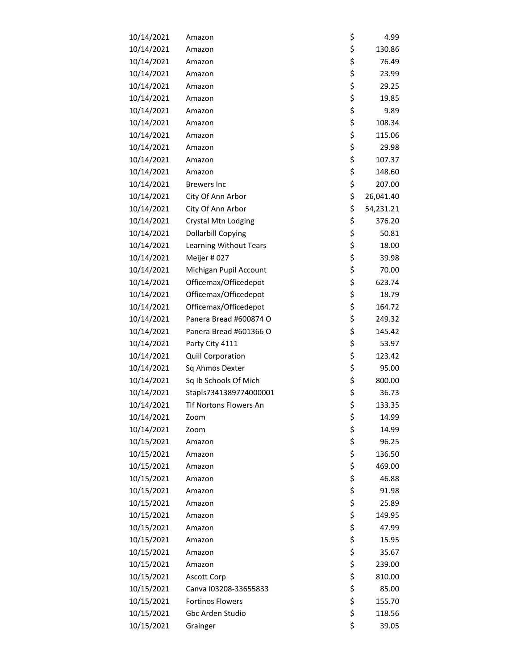| 10/14/2021 | Amazon                    | \$<br>4.99      |
|------------|---------------------------|-----------------|
| 10/14/2021 | Amazon                    | \$<br>130.86    |
| 10/14/2021 | Amazon                    | \$<br>76.49     |
| 10/14/2021 | Amazon                    | \$<br>23.99     |
| 10/14/2021 | Amazon                    | \$<br>29.25     |
| 10/14/2021 | Amazon                    | \$<br>19.85     |
| 10/14/2021 | Amazon                    | \$<br>9.89      |
| 10/14/2021 | Amazon                    | \$<br>108.34    |
| 10/14/2021 | Amazon                    | \$<br>115.06    |
| 10/14/2021 | Amazon                    | \$<br>29.98     |
| 10/14/2021 | Amazon                    | \$<br>107.37    |
| 10/14/2021 | Amazon                    | \$<br>148.60    |
| 10/14/2021 | <b>Brewers Inc</b>        | \$<br>207.00    |
| 10/14/2021 | City Of Ann Arbor         | \$<br>26,041.40 |
| 10/14/2021 | City Of Ann Arbor         | \$<br>54,231.21 |
| 10/14/2021 | Crystal Mtn Lodging       | \$<br>376.20    |
| 10/14/2021 | <b>Dollarbill Copying</b> | \$<br>50.81     |
| 10/14/2021 | Learning Without Tears    | \$<br>18.00     |
| 10/14/2021 | Meijer #027               | \$<br>39.98     |
| 10/14/2021 | Michigan Pupil Account    | \$<br>70.00     |
| 10/14/2021 | Officemax/Officedepot     | \$<br>623.74    |
| 10/14/2021 | Officemax/Officedepot     | \$<br>18.79     |
| 10/14/2021 | Officemax/Officedepot     | \$<br>164.72    |
| 10/14/2021 | Panera Bread #600874 O    | \$<br>249.32    |
| 10/14/2021 | Panera Bread #601366 O    | \$<br>145.42    |
| 10/14/2021 | Party City 4111           | \$<br>53.97     |
| 10/14/2021 | Quill Corporation         | \$<br>123.42    |
| 10/14/2021 | Sq Ahmos Dexter           | \$<br>95.00     |
| 10/14/2021 | Sq Ib Schools Of Mich     | \$<br>800.00    |
| 10/14/2021 | Stapls7341389774000001    | \$<br>36.73     |
| 10/14/2021 | Tlf Nortons Flowers An    | \$<br>133.35    |
| 10/14/2021 | Zoom                      | \$<br>14.99     |
| 10/14/2021 | Zoom                      | \$<br>14.99     |
| 10/15/2021 | Amazon                    | \$<br>96.25     |
| 10/15/2021 | Amazon                    | \$<br>136.50    |
| 10/15/2021 | Amazon                    | \$<br>469.00    |
| 10/15/2021 | Amazon                    | \$<br>46.88     |
| 10/15/2021 | Amazon                    | \$<br>91.98     |
| 10/15/2021 | Amazon                    | \$<br>25.89     |
| 10/15/2021 | Amazon                    | \$<br>149.95    |
| 10/15/2021 | Amazon                    | \$<br>47.99     |
| 10/15/2021 | Amazon                    | \$<br>15.95     |
| 10/15/2021 | Amazon                    | \$<br>35.67     |
| 10/15/2021 | Amazon                    | \$<br>239.00    |
| 10/15/2021 | <b>Ascott Corp</b>        | \$<br>810.00    |
| 10/15/2021 | Canva I03208-33655833     | \$<br>85.00     |
| 10/15/2021 | <b>Fortinos Flowers</b>   | \$<br>155.70    |
| 10/15/2021 | Gbc Arden Studio          | \$<br>118.56    |
| 10/15/2021 | Grainger                  | \$<br>39.05     |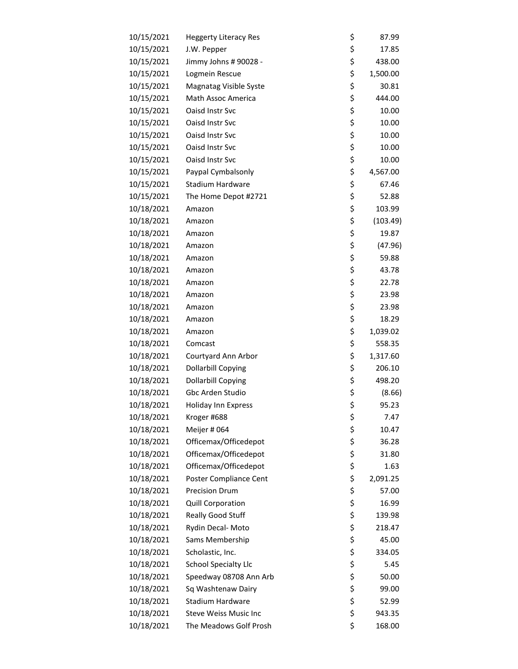| 10/15/2021 | <b>Heggerty Literacy Res</b> | \$<br>87.99    |
|------------|------------------------------|----------------|
| 10/15/2021 | J.W. Pepper                  | \$<br>17.85    |
| 10/15/2021 | Jimmy Johns # 90028 -        | \$<br>438.00   |
| 10/15/2021 | Logmein Rescue               | \$<br>1,500.00 |
| 10/15/2021 | Magnatag Visible Syste       | \$<br>30.81    |
| 10/15/2021 | Math Assoc America           | \$<br>444.00   |
| 10/15/2021 | Oaisd Instr Svc              | \$<br>10.00    |
| 10/15/2021 | Oaisd Instr Svc              | \$<br>10.00    |
| 10/15/2021 | Oaisd Instr Svc              | \$<br>10.00    |
| 10/15/2021 | Oaisd Instr Svc              | \$<br>10.00    |
| 10/15/2021 | Oaisd Instr Svc              | \$<br>10.00    |
| 10/15/2021 | Paypal Cymbalsonly           | \$<br>4,567.00 |
| 10/15/2021 | <b>Stadium Hardware</b>      | \$<br>67.46    |
| 10/15/2021 | The Home Depot #2721         | \$<br>52.88    |
| 10/18/2021 | Amazon                       | \$<br>103.99   |
| 10/18/2021 | Amazon                       | \$<br>(103.49) |
| 10/18/2021 | Amazon                       | \$<br>19.87    |
| 10/18/2021 | Amazon                       | \$<br>(47.96)  |
| 10/18/2021 | Amazon                       | \$<br>59.88    |
| 10/18/2021 | Amazon                       | \$<br>43.78    |
| 10/18/2021 | Amazon                       | \$<br>22.78    |
| 10/18/2021 | Amazon                       | \$<br>23.98    |
| 10/18/2021 | Amazon                       | \$<br>23.98    |
| 10/18/2021 | Amazon                       | \$<br>18.29    |
| 10/18/2021 | Amazon                       | \$<br>1,039.02 |
| 10/18/2021 | Comcast                      | \$<br>558.35   |
| 10/18/2021 | Courtyard Ann Arbor          | \$<br>1,317.60 |
| 10/18/2021 | <b>Dollarbill Copying</b>    | \$<br>206.10   |
| 10/18/2021 | <b>Dollarbill Copying</b>    | \$<br>498.20   |
| 10/18/2021 | Gbc Arden Studio             | \$<br>(8.66)   |
| 10/18/2021 | Holiday Inn Express          | \$<br>95.23    |
| 10/18/2021 | Kroger #688                  | \$<br>7.47     |
| 10/18/2021 | Meijer # 064                 | \$<br>10.47    |
| 10/18/2021 | Officemax/Officedepot        | \$<br>36.28    |
| 10/18/2021 | Officemax/Officedepot        | \$<br>31.80    |
| 10/18/2021 | Officemax/Officedepot        | \$<br>1.63     |
| 10/18/2021 | Poster Compliance Cent       | \$<br>2,091.25 |
| 10/18/2021 | <b>Precision Drum</b>        | \$<br>57.00    |
| 10/18/2021 | Quill Corporation            | \$<br>16.99    |
| 10/18/2021 | Really Good Stuff            | \$<br>139.98   |
| 10/18/2021 | Rydin Decal- Moto            | \$<br>218.47   |
| 10/18/2021 | Sams Membership              | \$<br>45.00    |
| 10/18/2021 | Scholastic, Inc.             | \$<br>334.05   |
| 10/18/2021 | <b>School Specialty Llc</b>  | \$<br>5.45     |
| 10/18/2021 | Speedway 08708 Ann Arb       | \$<br>50.00    |
| 10/18/2021 | Sq Washtenaw Dairy           | \$<br>99.00    |
| 10/18/2021 | Stadium Hardware             | \$<br>52.99    |
| 10/18/2021 | <b>Steve Weiss Music Inc</b> | \$<br>943.35   |
| 10/18/2021 | The Meadows Golf Prosh       | \$<br>168.00   |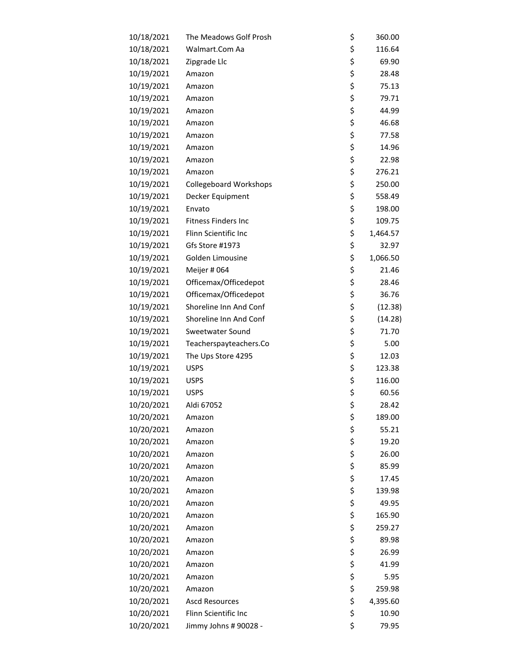| 10/18/2021 | The Meadows Golf Prosh        | \$<br>360.00   |
|------------|-------------------------------|----------------|
| 10/18/2021 | Walmart.Com Aa                | \$<br>116.64   |
| 10/18/2021 | Zipgrade Llc                  | \$<br>69.90    |
| 10/19/2021 | Amazon                        | \$<br>28.48    |
| 10/19/2021 | Amazon                        | \$<br>75.13    |
| 10/19/2021 | Amazon                        | \$<br>79.71    |
| 10/19/2021 | Amazon                        | \$<br>44.99    |
| 10/19/2021 | Amazon                        | \$<br>46.68    |
| 10/19/2021 | Amazon                        | \$<br>77.58    |
| 10/19/2021 | Amazon                        | \$<br>14.96    |
| 10/19/2021 | Amazon                        | \$<br>22.98    |
| 10/19/2021 | Amazon                        | \$<br>276.21   |
| 10/19/2021 | <b>Collegeboard Workshops</b> | \$<br>250.00   |
| 10/19/2021 | Decker Equipment              | \$<br>558.49   |
| 10/19/2021 | Envato                        | \$<br>198.00   |
| 10/19/2021 | <b>Fitness Finders Inc</b>    | \$<br>109.75   |
| 10/19/2021 | Flinn Scientific Inc          | \$<br>1,464.57 |
| 10/19/2021 | Gfs Store #1973               | \$<br>32.97    |
| 10/19/2021 | Golden Limousine              | \$<br>1,066.50 |
| 10/19/2021 | Meijer #064                   | \$<br>21.46    |
| 10/19/2021 | Officemax/Officedepot         | \$<br>28.46    |
| 10/19/2021 | Officemax/Officedepot         | \$<br>36.76    |
| 10/19/2021 | Shoreline Inn And Conf        | \$<br>(12.38)  |
| 10/19/2021 | Shoreline Inn And Conf        | \$<br>(14.28)  |
| 10/19/2021 | Sweetwater Sound              | \$<br>71.70    |
| 10/19/2021 | Teacherspayteachers.Co        | \$<br>5.00     |
| 10/19/2021 | The Ups Store 4295            | \$<br>12.03    |
| 10/19/2021 | <b>USPS</b>                   | \$<br>123.38   |
| 10/19/2021 | <b>USPS</b>                   | \$<br>116.00   |
| 10/19/2021 | <b>USPS</b>                   | \$<br>60.56    |
| 10/20/2021 | Aldi 67052                    | \$<br>28.42    |
| 10/20/2021 | Amazon                        | \$<br>189.00   |
| 10/20/2021 | Amazon                        | \$<br>55.21    |
| 10/20/2021 | Amazon                        | \$<br>19.20    |
| 10/20/2021 | Amazon                        | \$<br>26.00    |
| 10/20/2021 | Amazon                        | \$<br>85.99    |
| 10/20/2021 | Amazon                        | \$<br>17.45    |
| 10/20/2021 | Amazon                        | \$<br>139.98   |
| 10/20/2021 | Amazon                        | \$<br>49.95    |
| 10/20/2021 | Amazon                        | \$<br>165.90   |
| 10/20/2021 | Amazon                        | \$<br>259.27   |
| 10/20/2021 | Amazon                        | \$<br>89.98    |
| 10/20/2021 | Amazon                        | \$<br>26.99    |
| 10/20/2021 | Amazon                        | \$<br>41.99    |
| 10/20/2021 | Amazon                        | \$<br>5.95     |
| 10/20/2021 | Amazon                        | \$<br>259.98   |
| 10/20/2021 | <b>Ascd Resources</b>         | \$<br>4,395.60 |
| 10/20/2021 | Flinn Scientific Inc          | \$<br>10.90    |
| 10/20/2021 | Jimmy Johns # 90028 -         | \$<br>79.95    |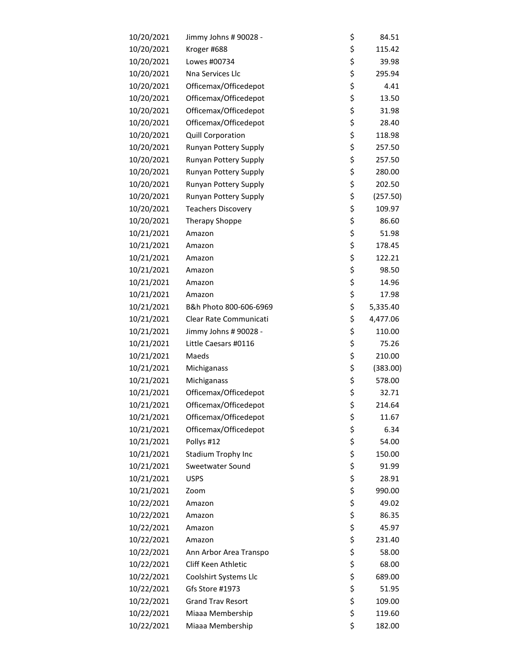| 10/20/2021 | Jimmy Johns # 90028 -     | \$<br>84.51    |
|------------|---------------------------|----------------|
| 10/20/2021 | Kroger #688               | \$<br>115.42   |
| 10/20/2021 | Lowes #00734              | \$<br>39.98    |
| 10/20/2021 | Nna Services Llc          | \$<br>295.94   |
| 10/20/2021 | Officemax/Officedepot     | \$<br>4.41     |
| 10/20/2021 | Officemax/Officedepot     | \$<br>13.50    |
| 10/20/2021 | Officemax/Officedepot     | \$<br>31.98    |
| 10/20/2021 | Officemax/Officedepot     | \$<br>28.40    |
| 10/20/2021 | Quill Corporation         | \$<br>118.98   |
| 10/20/2021 | Runyan Pottery Supply     | \$<br>257.50   |
| 10/20/2021 | Runyan Pottery Supply     | \$<br>257.50   |
| 10/20/2021 | Runyan Pottery Supply     | \$<br>280.00   |
| 10/20/2021 | Runyan Pottery Supply     | \$<br>202.50   |
| 10/20/2021 | Runyan Pottery Supply     | \$<br>(257.50) |
| 10/20/2021 | <b>Teachers Discovery</b> | \$<br>109.97   |
| 10/20/2021 | <b>Therapy Shoppe</b>     | \$<br>86.60    |
| 10/21/2021 | Amazon                    | \$<br>51.98    |
| 10/21/2021 | Amazon                    | \$<br>178.45   |
| 10/21/2021 | Amazon                    | \$<br>122.21   |
| 10/21/2021 | Amazon                    | \$<br>98.50    |
| 10/21/2021 | Amazon                    | \$<br>14.96    |
| 10/21/2021 | Amazon                    | \$<br>17.98    |
| 10/21/2021 | B&h Photo 800-606-6969    | \$<br>5,335.40 |
| 10/21/2021 | Clear Rate Communicati    | \$<br>4,477.06 |
| 10/21/2021 | Jimmy Johns # 90028 -     | \$<br>110.00   |
| 10/21/2021 | Little Caesars #0116      | \$<br>75.26    |
| 10/21/2021 | Maeds                     | \$<br>210.00   |
| 10/21/2021 | Michiganass               | \$<br>(383.00) |
| 10/21/2021 | Michiganass               | \$<br>578.00   |
| 10/21/2021 | Officemax/Officedepot     | \$<br>32.71    |
| 10/21/2021 | Officemax/Officedepot     | \$<br>214.64   |
| 10/21/2021 | Officemax/Officedepot     | \$<br>11.67    |
| 10/21/2021 | Officemax/Officedepot     | \$<br>6.34     |
| 10/21/2021 | Pollys #12                | \$<br>54.00    |
| 10/21/2021 | Stadium Trophy Inc        | \$<br>150.00   |
| 10/21/2021 | Sweetwater Sound          | \$<br>91.99    |
| 10/21/2021 | <b>USPS</b>               | \$<br>28.91    |
| 10/21/2021 | Zoom                      | \$<br>990.00   |
| 10/22/2021 | Amazon                    | \$<br>49.02    |
| 10/22/2021 | Amazon                    | \$<br>86.35    |
| 10/22/2021 | Amazon                    | \$<br>45.97    |
| 10/22/2021 | Amazon                    | \$<br>231.40   |
| 10/22/2021 | Ann Arbor Area Transpo    | \$<br>58.00    |
| 10/22/2021 | Cliff Keen Athletic       | \$<br>68.00    |
| 10/22/2021 | Coolshirt Systems Llc     | \$<br>689.00   |
| 10/22/2021 | Gfs Store #1973           | \$<br>51.95    |
| 10/22/2021 | <b>Grand Trav Resort</b>  | \$<br>109.00   |
| 10/22/2021 | Miaaa Membership          | \$<br>119.60   |
| 10/22/2021 | Miaaa Membership          | \$<br>182.00   |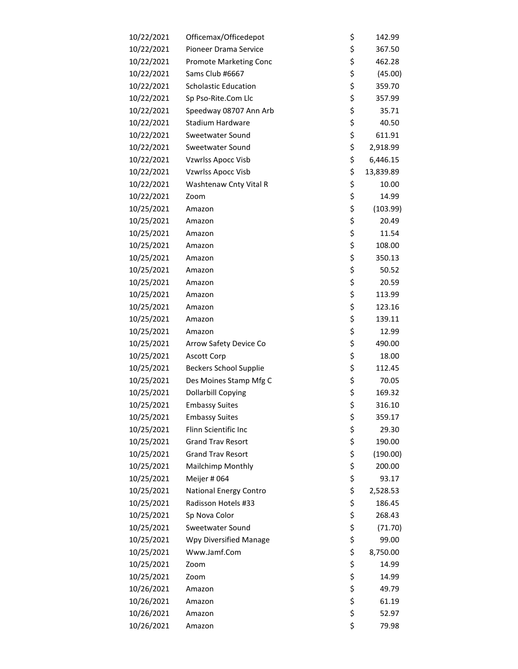| 10/22/2021<br>Officemax/Officedepot<br>Pioneer Drama Service<br>10/22/2021<br>10/22/2021<br><b>Promote Marketing Conc</b><br>10/22/2021<br>Sams Club #6667<br>10/22/2021<br><b>Scholastic Education</b> | \$<br>\$<br>\$<br>\$<br>\$<br>\$<br>\$<br>\$ | 142.99<br>367.50<br>462.28<br>(45.00)<br>359.70<br>357.99 |
|---------------------------------------------------------------------------------------------------------------------------------------------------------------------------------------------------------|----------------------------------------------|-----------------------------------------------------------|
|                                                                                                                                                                                                         |                                              |                                                           |
|                                                                                                                                                                                                         |                                              |                                                           |
|                                                                                                                                                                                                         |                                              |                                                           |
|                                                                                                                                                                                                         |                                              |                                                           |
|                                                                                                                                                                                                         |                                              |                                                           |
| 10/22/2021<br>Sp Pso-Rite.Com Llc                                                                                                                                                                       |                                              |                                                           |
| 10/22/2021<br>Speedway 08707 Ann Arb                                                                                                                                                                    |                                              | 35.71                                                     |
| 10/22/2021<br><b>Stadium Hardware</b>                                                                                                                                                                   |                                              | 40.50                                                     |
| 10/22/2021<br>Sweetwater Sound                                                                                                                                                                          | \$                                           | 611.91                                                    |
| 10/22/2021<br>Sweetwater Sound                                                                                                                                                                          | \$                                           | 2,918.99                                                  |
| 10/22/2021<br><b>Vzwrlss Apocc Visb</b>                                                                                                                                                                 | \$                                           | 6,446.15                                                  |
| 10/22/2021<br>Vzwrlss Apocc Visb                                                                                                                                                                        | \$                                           | 13,839.89                                                 |
| 10/22/2021<br>Washtenaw Cnty Vital R                                                                                                                                                                    | \$                                           | 10.00                                                     |
| 10/22/2021<br>Zoom                                                                                                                                                                                      | \$                                           | 14.99                                                     |
| 10/25/2021<br>Amazon                                                                                                                                                                                    | \$                                           | (103.99)                                                  |
| 10/25/2021<br>Amazon                                                                                                                                                                                    | \$                                           | 20.49                                                     |
| 10/25/2021<br>Amazon                                                                                                                                                                                    | \$                                           | 11.54                                                     |
| 10/25/2021<br>Amazon                                                                                                                                                                                    | \$                                           | 108.00                                                    |
| 10/25/2021<br>Amazon                                                                                                                                                                                    | \$                                           | 350.13                                                    |
| 10/25/2021<br>Amazon                                                                                                                                                                                    | \$                                           | 50.52                                                     |
| 10/25/2021<br>Amazon                                                                                                                                                                                    | \$                                           | 20.59                                                     |
| 10/25/2021<br>Amazon                                                                                                                                                                                    | \$                                           | 113.99                                                    |
| 10/25/2021<br>Amazon                                                                                                                                                                                    | \$                                           | 123.16                                                    |
| 10/25/2021<br>Amazon                                                                                                                                                                                    | \$                                           | 139.11                                                    |
| 10/25/2021<br>Amazon                                                                                                                                                                                    | \$                                           | 12.99                                                     |
| 10/25/2021<br>Arrow Safety Device Co                                                                                                                                                                    | \$                                           | 490.00                                                    |
| 10/25/2021<br><b>Ascott Corp</b>                                                                                                                                                                        | \$                                           | 18.00                                                     |
| 10/25/2021<br><b>Beckers School Supplie</b>                                                                                                                                                             | \$                                           | 112.45                                                    |
| 10/25/2021<br>Des Moines Stamp Mfg C                                                                                                                                                                    | \$                                           | 70.05                                                     |
| 10/25/2021<br><b>Dollarbill Copying</b>                                                                                                                                                                 | \$                                           | 169.32                                                    |
| 10/25/2021<br><b>Embassy Suites</b>                                                                                                                                                                     | \$                                           | 316.10                                                    |
| 10/25/2021<br><b>Embassy Suites</b>                                                                                                                                                                     | \$                                           | 359.17                                                    |
| 10/25/2021<br>Flinn Scientific Inc                                                                                                                                                                      | \$                                           | 29.30                                                     |
| 10/25/2021<br><b>Grand Trav Resort</b>                                                                                                                                                                  | \$                                           | 190.00                                                    |
| 10/25/2021<br><b>Grand Trav Resort</b>                                                                                                                                                                  | \$                                           | (190.00)                                                  |
| Mailchimp Monthly<br>10/25/2021                                                                                                                                                                         | \$                                           | 200.00                                                    |
| 10/25/2021<br>Meijer #064                                                                                                                                                                               | \$                                           | 93.17                                                     |
| 10/25/2021<br>National Energy Contro                                                                                                                                                                    | \$                                           | 2,528.53                                                  |
| 10/25/2021<br>Radisson Hotels #33                                                                                                                                                                       | \$                                           | 186.45                                                    |
| 10/25/2021<br>Sp Nova Color                                                                                                                                                                             | \$                                           | 268.43                                                    |
| 10/25/2021<br>Sweetwater Sound                                                                                                                                                                          | \$                                           | (71.70)                                                   |
| 10/25/2021<br>Wpy Diversified Manage                                                                                                                                                                    | \$                                           | 99.00                                                     |
| 10/25/2021<br>Www.Jamf.Com                                                                                                                                                                              | \$                                           | 8,750.00                                                  |
| 10/25/2021<br>Zoom                                                                                                                                                                                      | \$                                           | 14.99                                                     |
| 10/25/2021<br>Zoom                                                                                                                                                                                      | \$                                           | 14.99                                                     |
| 10/26/2021<br>Amazon                                                                                                                                                                                    | \$                                           | 49.79                                                     |
| 10/26/2021<br>Amazon                                                                                                                                                                                    | \$                                           | 61.19                                                     |
| 10/26/2021<br>Amazon                                                                                                                                                                                    | \$                                           | 52.97                                                     |
| 10/26/2021<br>Amazon                                                                                                                                                                                    | \$                                           | 79.98                                                     |